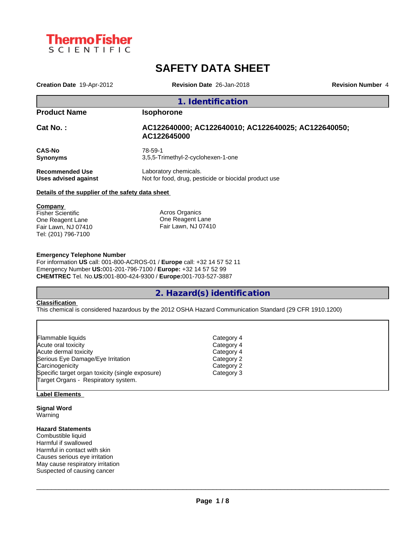

# **SAFETY DATA SHEET**

| Creation Date 19-Apr-2012                        | Revision Date 26-Jan-2018                                                      | <b>Revision Number 4</b> |
|--------------------------------------------------|--------------------------------------------------------------------------------|--------------------------|
|                                                  | 1. Identification                                                              |                          |
| <b>Product Name</b>                              | <b>Isophorone</b>                                                              |                          |
| <b>Cat No. :</b>                                 | AC122640000; AC122640010; AC122640025; AC122640050;<br>AC122645000             |                          |
| <b>CAS-No</b><br>Synonyms                        | 78-59-1<br>3,5,5-Trimethyl-2-cyclohexen-1-one                                  |                          |
| Recommended Use<br>Uses advised against          | Laboratory chemicals.<br>Not for food, drug, pesticide or biocidal product use |                          |
| Details of the supplier of the safety data sheet |                                                                                |                          |
| <b>Company</b><br>Fisher Scientific              | Acros Organics                                                                 |                          |

One Reagent Lane Fair Lawn, NJ 07410 Tel: (201) 796-7100

One Reagent Lane Fair Lawn, NJ 07410

## **Emergency Telephone Number**

For information **US** call: 001-800-ACROS-01 / **Europe** call: +32 14 57 52 11 Emergency Number **US:**001-201-796-7100 / **Europe:** +32 14 57 52 99 **CHEMTREC** Tel. No.**US:**001-800-424-9300 / **Europe:**001-703-527-3887

## **2. Hazard(s) identification**

#### **Classification**

This chemical is considered hazardous by the 2012 OSHA Hazard Communication Standard (29 CFR 1910.1200)

| Flammable liquids                                | Category 4 |  |
|--------------------------------------------------|------------|--|
| Acute oral toxicity                              | Category 4 |  |
| Acute dermal toxicity                            | Category 4 |  |
| Serious Eye Damage/Eye Irritation                | Category 2 |  |
| Carcinogenicity                                  | Category 2 |  |
| Specific target organ toxicity (single exposure) | Category 3 |  |
| Target Organs - Respiratory system.              |            |  |

### **Label Elements**

**Signal Word** Warning

## **Hazard Statements**

Combustible liquid Harmful if swallowed Harmful in contact with skin Causes serious eye irritation May cause respiratory irritation Suspected of causing cancer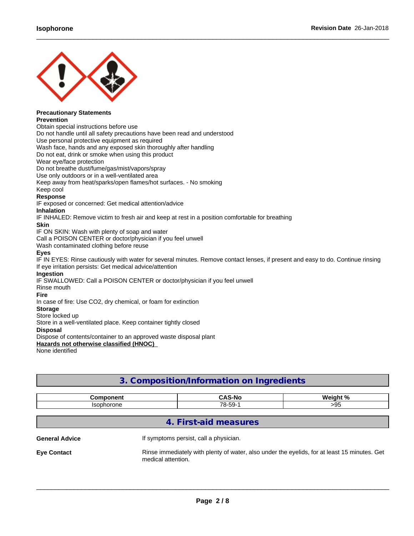

#### **Precautionary Statements Prevention**

Obtain special instructions before use Do not handle until all safety precautions have been read and understood Use personal protective equipment as required Wash face, hands and any exposed skin thoroughly after handling Do not eat, drink or smoke when using this product Wear eye/face protection Do not breathe dust/fume/gas/mist/vapors/spray Use only outdoors or in a well-ventilated area Keep away from heat/sparks/open flames/hot surfaces. - No smoking Keep cool **Response** IF exposed or concerned: Get medical attention/advice **Inhalation** IF INHALED: Remove victim to fresh air and keep at rest in a position comfortable for breathing **Skin** IF ON SKIN: Wash with plenty of soap and water Call a POISON CENTER or doctor/physician if you feel unwell Wash contaminated clothing before reuse **Eyes** IF IN EYES: Rinse cautiously with water for several minutes. Remove contact lenses, if present and easy to do. Continue rinsing If eye irritation persists: Get medical advice/attention **Ingestion** IF SWALLOWED: Call a POISON CENTER or doctor/physician if you feel unwell Rinse mouth **Fire** In case of fire: Use CO2, dry chemical, or foam for extinction **Storage** Store locked up Store in a well-ventilated place. Keep container tightly closed

 $\_$  ,  $\_$  ,  $\_$  ,  $\_$  ,  $\_$  ,  $\_$  ,  $\_$  ,  $\_$  ,  $\_$  ,  $\_$  ,  $\_$  ,  $\_$  ,  $\_$  ,  $\_$  ,  $\_$  ,  $\_$  ,  $\_$  ,  $\_$  ,  $\_$  ,  $\_$  ,  $\_$  ,  $\_$  ,  $\_$  ,  $\_$  ,  $\_$  ,  $\_$  ,  $\_$  ,  $\_$  ,  $\_$  ,  $\_$  ,  $\_$  ,  $\_$  ,  $\_$  ,  $\_$  ,  $\_$  ,  $\_$  ,  $\_$  ,

**Disposal**

Dispose of contents/container to an approved waste disposal plant

**Hazards not otherwise classified (HNOC)**

None identified

## **3. Composition/Information on Ingredients**

| ----------           | <b>CAS-N</b><br>-No<br>. .<br>. | $Mainht$ % |
|----------------------|---------------------------------|------------|
| ls∩n<br>$   -$<br>וו | 78-59-<br>- 33<br>◡             | oε<br>∼∼   |

## **4. First-aid measures**

**General Advice If symptoms persist, call a physician.** 

**Eye Contact** Rinse immediately with plenty of water, also under the eyelids, for at least 15 minutes. Get medical attention.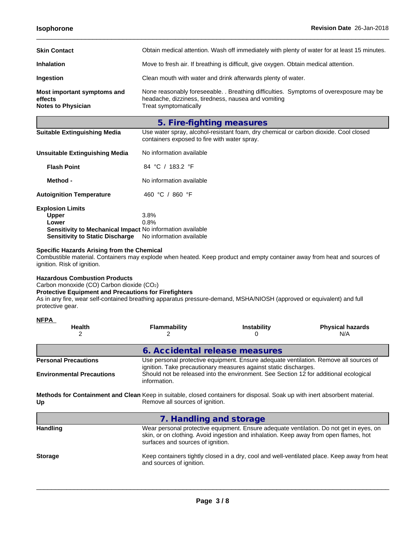| <b>Skin Contact</b>                                                 | Obtain medical attention. Wash off immediately with plenty of water for at least 15 minutes.                                                                           |  |  |
|---------------------------------------------------------------------|------------------------------------------------------------------------------------------------------------------------------------------------------------------------|--|--|
| <b>Inhalation</b>                                                   | Move to fresh air. If breathing is difficult, give oxygen. Obtain medical attention.                                                                                   |  |  |
| <b>Ingestion</b>                                                    | Clean mouth with water and drink afterwards plenty of water.                                                                                                           |  |  |
| Most important symptoms and<br>effects<br><b>Notes to Physician</b> | None reasonably foreseeable. . Breathing difficulties. Symptoms of overexposure may be<br>headache, dizziness, tiredness, nausea and vomiting<br>Treat symptomatically |  |  |

 $\_$  ,  $\_$  ,  $\_$  ,  $\_$  ,  $\_$  ,  $\_$  ,  $\_$  ,  $\_$  ,  $\_$  ,  $\_$  ,  $\_$  ,  $\_$  ,  $\_$  ,  $\_$  ,  $\_$  ,  $\_$  ,  $\_$  ,  $\_$  ,  $\_$  ,  $\_$  ,  $\_$  ,  $\_$  ,  $\_$  ,  $\_$  ,  $\_$  ,  $\_$  ,  $\_$  ,  $\_$  ,  $\_$  ,  $\_$  ,  $\_$  ,  $\_$  ,  $\_$  ,  $\_$  ,  $\_$  ,  $\_$  ,  $\_$  ,

**5. Fire-fighting measures**

| Use water spray, alcohol-resistant foam, dry chemical or carbon dioxide. Cool closed<br>containers exposed to fire with water spray. |
|--------------------------------------------------------------------------------------------------------------------------------------|
| No information available                                                                                                             |
|                                                                                                                                      |

| <b>Flash Point</b>              | 84 °C / 183.2 °F                                          |  |
|---------------------------------|-----------------------------------------------------------|--|
| Method -                        | No information available                                  |  |
| <b>Autoignition Temperature</b> | 460 °C / 860 °F                                           |  |
| <b>Explosion Limits</b>         |                                                           |  |
| <b>Upper</b>                    | 3.8%                                                      |  |
| Lower                           | 0.8%                                                      |  |
|                                 | Sensitivity to Mechanical Impact No information available |  |

**Sensitivity to Static Discharge** No information available

## **Specific Hazards Arising from the Chemical**

Combustible material. Containers may explode when heated. Keep product and empty container away from heat and sources of ignition. Risk of ignition.

## **Hazardous Combustion Products**

Carbon monoxide (CO) Carbon dioxide (CO2)

## **Protective Equipment and Precautions for Firefighters**

As in any fire, wear self-contained breathing apparatus pressure-demand, MSHA/NIOSH (approved or equivalent) and full protective gear.

| <b>NFPA</b>                                                     |                                                                                                                                                               |                                                                                                                                                           |                                                                                              |
|-----------------------------------------------------------------|---------------------------------------------------------------------------------------------------------------------------------------------------------------|-----------------------------------------------------------------------------------------------------------------------------------------------------------|----------------------------------------------------------------------------------------------|
| <b>Health</b>                                                   | <b>Flammability</b><br>2                                                                                                                                      | <b>Instability</b><br>O                                                                                                                                   | <b>Physical hazards</b><br>N/A                                                               |
|                                                                 | 6. Accidental release measures                                                                                                                                |                                                                                                                                                           |                                                                                              |
| <b>Personal Precautions</b><br><b>Environmental Precautions</b> | information.                                                                                                                                                  | ignition. Take precautionary measures against static discharges.<br>Should not be released into the environment. See Section 12 for additional ecological | Use personal protective equipment. Ensure adequate ventilation. Remove all sources of        |
| Up                                                              | Methods for Containment and Clean Keep in suitable, closed containers for disposal. Soak up with inert absorbent material.<br>Remove all sources of ignition. |                                                                                                                                                           |                                                                                              |
|                                                                 | 7. Handling and storage                                                                                                                                       |                                                                                                                                                           |                                                                                              |
| <b>Handling</b>                                                 | surfaces and sources of ignition.                                                                                                                             | skin, or on clothing. Avoid ingestion and inhalation. Keep away from open flames, hot                                                                     | Wear personal protective equipment. Ensure adequate ventilation. Do not get in eyes, on      |
| <b>Storage</b>                                                  | and sources of ignition.                                                                                                                                      |                                                                                                                                                           | Keep containers tightly closed in a dry, cool and well-ventilated place. Keep away from heat |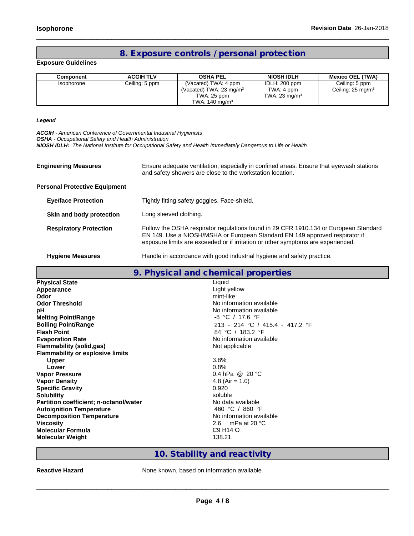## **8. Exposure controls / personal protection**

 $\_$  ,  $\_$  ,  $\_$  ,  $\_$  ,  $\_$  ,  $\_$  ,  $\_$  ,  $\_$  ,  $\_$  ,  $\_$  ,  $\_$  ,  $\_$  ,  $\_$  ,  $\_$  ,  $\_$  ,  $\_$  ,  $\_$  ,  $\_$  ,  $\_$  ,  $\_$  ,  $\_$  ,  $\_$  ,  $\_$  ,  $\_$  ,  $\_$  ,  $\_$  ,  $\_$  ,  $\_$  ,  $\_$  ,  $\_$  ,  $\_$  ,  $\_$  ,  $\_$  ,  $\_$  ,  $\_$  ,  $\_$  ,  $\_$  ,

**Exposure Guidelines**

| Component                | <b>ACGIH TLV</b> | <b>OSHA PEL</b>                     | <b>NIOSH IDLH</b>        | <b>Mexico OEL (TWA)</b>      |
|--------------------------|------------------|-------------------------------------|--------------------------|------------------------------|
| <i><b>Isophorone</b></i> | Ceiling: 5 ppm   | (Vacated) TWA: 4 ppm                | IDLH: 200 ppm            | Ceiling: 5 ppm               |
|                          |                  | (Vacated) TWA: 23 mg/m <sup>3</sup> | TWA: 4 ppm               | Ceiling: $25 \text{ mg/m}^3$ |
|                          |                  | TWA: 25 ppm                         | TWA: $23 \text{ mg/m}^3$ |                              |
|                          |                  | TWA: $140 \text{ mg/m}^3$           |                          |                              |

*Legend*

*ACGIH - American Conference of Governmental Industrial Hygienists*

*OSHA - Occupational Safety and Health Administration*

*NIOSH IDLH: The National Institute for Occupational Safety and Health Immediately Dangerous to Life or Health*

| <b>Engineering Measures</b>          | Ensure adequate ventilation, especially in confined areas. Ensure that eyewash stations<br>and safety showers are close to the workstation location.                                                                                                    |
|--------------------------------------|---------------------------------------------------------------------------------------------------------------------------------------------------------------------------------------------------------------------------------------------------------|
| <b>Personal Protective Equipment</b> |                                                                                                                                                                                                                                                         |
| <b>Eye/face Protection</b>           | Tightly fitting safety goggles. Face-shield.                                                                                                                                                                                                            |
| Skin and body protection             | Long sleeved clothing.                                                                                                                                                                                                                                  |
| <b>Respiratory Protection</b>        | Follow the OSHA respirator regulations found in 29 CFR 1910.134 or European Standard<br>EN 149. Use a NIOSH/MSHA or European Standard EN 149 approved respirator if<br>exposure limits are exceeded or if irritation or other symptoms are experienced. |
|                                      |                                                                                                                                                                                                                                                         |

Hygiene Measures **Handle** in accordance with good industrial hygiene and safety practice.

|                                               | 9. Physical and chemical properties |  |  |
|-----------------------------------------------|-------------------------------------|--|--|
| <b>Physical State</b>                         | Liquid                              |  |  |
| Appearance                                    | Light yellow                        |  |  |
| Odor                                          | mint-like                           |  |  |
| <b>Odor Threshold</b>                         | No information available            |  |  |
| рH                                            | No information available            |  |  |
| <b>Melting Point/Range</b>                    | -8 °C / 17.6 °F                     |  |  |
| <b>Boiling Point/Range</b>                    | 213 - 214 °C / 415.4 - 417.2 °F     |  |  |
| <b>Flash Point</b>                            | 84 °C / 183.2 °F                    |  |  |
| <b>Evaporation Rate</b>                       | No information available            |  |  |
| <b>Flammability (solid,gas)</b>               | Not applicable                      |  |  |
| <b>Flammability or explosive limits</b>       |                                     |  |  |
| Upper                                         | 3.8%                                |  |  |
| Lower                                         | 0.8%                                |  |  |
| <b>Vapor Pressure</b>                         | 0.4 hPa @ 20 °C                     |  |  |
| <b>Vapor Density</b>                          | 4.8 (Air = $1.0$ )                  |  |  |
| <b>Specific Gravity</b>                       | 0.920                               |  |  |
| <b>Solubility</b>                             | soluble                             |  |  |
| <b>Partition coefficient; n-octanol/water</b> | No data available                   |  |  |
| <b>Autoignition Temperature</b>               | 460 °C / 860 °F                     |  |  |
| <b>Decomposition Temperature</b>              | No information available            |  |  |
| <b>Viscosity</b>                              | 2.6 mPa at 20 $^{\circ}$ C          |  |  |
| <b>Molecular Formula</b>                      | C9 H <sub>14</sub> O                |  |  |
| <b>Molecular Weight</b>                       | 138.21                              |  |  |

## **10. Stability and reactivity**

**Reactive Hazard** None known, based on information available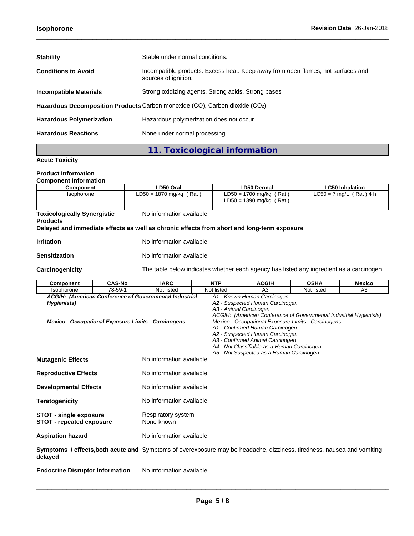| <b>Stability</b>                                                            | Stable under normal conditions.                                                                          |  |
|-----------------------------------------------------------------------------|----------------------------------------------------------------------------------------------------------|--|
| <b>Conditions to Avoid</b>                                                  | Incompatible products. Excess heat. Keep away from open flames, hot surfaces and<br>sources of ignition. |  |
| <b>Incompatible Materials</b>                                               | Strong oxidizing agents, Strong acids, Strong bases                                                      |  |
| Hazardous Decomposition Products Carbon monoxide (CO), Carbon dioxide (CO2) |                                                                                                          |  |
| <b>Hazardous Polymerization</b>                                             | Hazardous polymerization does not occur.                                                                 |  |
| <b>Hazardous Reactions</b>                                                  | None under normal processing.                                                                            |  |

 $\_$  ,  $\_$  ,  $\_$  ,  $\_$  ,  $\_$  ,  $\_$  ,  $\_$  ,  $\_$  ,  $\_$  ,  $\_$  ,  $\_$  ,  $\_$  ,  $\_$  ,  $\_$  ,  $\_$  ,  $\_$  ,  $\_$  ,  $\_$  ,  $\_$  ,  $\_$  ,  $\_$  ,  $\_$  ,  $\_$  ,  $\_$  ,  $\_$  ,  $\_$  ,  $\_$  ,  $\_$  ,  $\_$  ,  $\_$  ,  $\_$  ,  $\_$  ,  $\_$  ,  $\_$  ,  $\_$  ,  $\_$  ,  $\_$  ,

**11. Toxicological information**

## **Acute Toxicity**

## **Product Information**

| <b>Component Information</b> |           |                    |                 |
|------------------------------|-----------|--------------------|-----------------|
| <b>Component</b>             | ∟D50 Oral | <b>LD50 Dermal</b> | Inhalation<br>ы |

| No information available<br><b>Toxicologically Synergistic</b><br><b>Products</b><br>Delayed and immediate effects as well as chronic effects from short and long-term exposure<br><b>Irritation</b><br>No information available<br>No information available<br><b>Sensitization</b><br>Carcinogenicity<br>The table below indicates whether each agency has listed any ingredient as a carcinogen.<br><b>IARC</b><br><b>CAS-No</b><br><b>NTP</b><br><b>ACGIH</b><br><b>OSHA</b><br><b>Mexico</b><br><b>Component</b><br>78-59-1<br>Not listed<br>A <sub>3</sub><br>A3<br>Not listed<br>Not listed<br>Isophorone<br>A1 - Known Human Carcinogen<br>ACGIH: (American Conference of Governmental Industrial<br>A2 - Suspected Human Carcinogen<br>Hygienists)<br>A3 - Animal Carcinogen<br>ACGIH: (American Conference of Governmental Industrial Hygienists)<br>Mexico - Occupational Exposure Limits - Carcinogens<br>Mexico - Occupational Exposure Limits - Carcinogens<br>A1 - Confirmed Human Carcinogen<br>A2 - Suspected Human Carcinogen<br>A3 - Confirmed Animal Carcinogen<br>A4 - Not Classifiable as a Human Carcinogen<br>A5 - Not Suspected as a Human Carcinogen<br>No information available<br><b>Mutagenic Effects</b><br>No information available.<br><b>Reproductive Effects</b> | Isophorone | $LD50 = 1870$ mg/kg (Rat) | $LD50 = 1700$ mg/kg (Rat)<br>$LD50 = 1390$ mg/kg (Rat) | $LC50 = 7$ mg/L (Rat) 4 h |
|----------------------------------------------------------------------------------------------------------------------------------------------------------------------------------------------------------------------------------------------------------------------------------------------------------------------------------------------------------------------------------------------------------------------------------------------------------------------------------------------------------------------------------------------------------------------------------------------------------------------------------------------------------------------------------------------------------------------------------------------------------------------------------------------------------------------------------------------------------------------------------------------------------------------------------------------------------------------------------------------------------------------------------------------------------------------------------------------------------------------------------------------------------------------------------------------------------------------------------------------------------------------------------------------------|------------|---------------------------|--------------------------------------------------------|---------------------------|
|                                                                                                                                                                                                                                                                                                                                                                                                                                                                                                                                                                                                                                                                                                                                                                                                                                                                                                                                                                                                                                                                                                                                                                                                                                                                                                    |            |                           |                                                        |                           |
|                                                                                                                                                                                                                                                                                                                                                                                                                                                                                                                                                                                                                                                                                                                                                                                                                                                                                                                                                                                                                                                                                                                                                                                                                                                                                                    |            |                           |                                                        |                           |
|                                                                                                                                                                                                                                                                                                                                                                                                                                                                                                                                                                                                                                                                                                                                                                                                                                                                                                                                                                                                                                                                                                                                                                                                                                                                                                    |            |                           |                                                        |                           |
|                                                                                                                                                                                                                                                                                                                                                                                                                                                                                                                                                                                                                                                                                                                                                                                                                                                                                                                                                                                                                                                                                                                                                                                                                                                                                                    |            |                           |                                                        |                           |
|                                                                                                                                                                                                                                                                                                                                                                                                                                                                                                                                                                                                                                                                                                                                                                                                                                                                                                                                                                                                                                                                                                                                                                                                                                                                                                    |            |                           |                                                        |                           |
|                                                                                                                                                                                                                                                                                                                                                                                                                                                                                                                                                                                                                                                                                                                                                                                                                                                                                                                                                                                                                                                                                                                                                                                                                                                                                                    |            |                           |                                                        |                           |
|                                                                                                                                                                                                                                                                                                                                                                                                                                                                                                                                                                                                                                                                                                                                                                                                                                                                                                                                                                                                                                                                                                                                                                                                                                                                                                    |            |                           |                                                        |                           |
|                                                                                                                                                                                                                                                                                                                                                                                                                                                                                                                                                                                                                                                                                                                                                                                                                                                                                                                                                                                                                                                                                                                                                                                                                                                                                                    |            |                           |                                                        |                           |
|                                                                                                                                                                                                                                                                                                                                                                                                                                                                                                                                                                                                                                                                                                                                                                                                                                                                                                                                                                                                                                                                                                                                                                                                                                                                                                    |            |                           |                                                        |                           |
|                                                                                                                                                                                                                                                                                                                                                                                                                                                                                                                                                                                                                                                                                                                                                                                                                                                                                                                                                                                                                                                                                                                                                                                                                                                                                                    |            |                           |                                                        |                           |

- **Developmental Effects** No information available.
- **Teratogenicity No information available.**
- **STOT - single exposure** Respiratory system **STOT - repeated exposure** None known
- **Aspiration hazard** No information available

**Symptoms / effects,both acute and** Symptoms of overexposure may be headache, dizziness, tiredness, nausea and vomiting **delayed**

**Endocrine Disruptor Information** No information available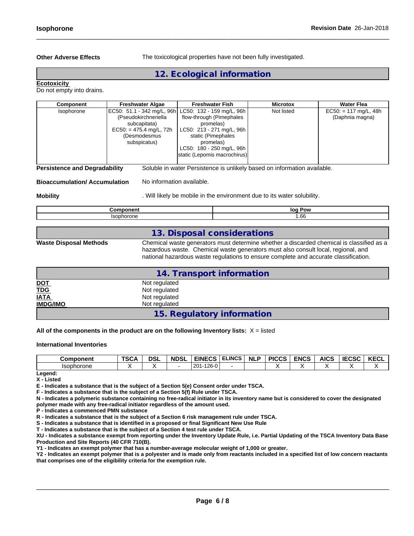**Other Adverse Effects** The toxicological properties have not been fully investigated.

 $\_$  ,  $\_$  ,  $\_$  ,  $\_$  ,  $\_$  ,  $\_$  ,  $\_$  ,  $\_$  ,  $\_$  ,  $\_$  ,  $\_$  ,  $\_$  ,  $\_$  ,  $\_$  ,  $\_$  ,  $\_$  ,  $\_$  ,  $\_$  ,  $\_$  ,  $\_$  ,  $\_$  ,  $\_$  ,  $\_$  ,  $\_$  ,  $\_$  ,  $\_$  ,  $\_$  ,  $\_$  ,  $\_$  ,  $\_$  ,  $\_$  ,  $\_$  ,  $\_$  ,  $\_$  ,  $\_$  ,  $\_$  ,  $\_$  ,

## **12. Ecological information**

### **Ecotoxicity**

Do not empty into drains.

| Component  | <b>Freshwater Algae</b>                                                                                                                                   | <b>Freshwater Fish</b>                                                                                                                                             | <b>Microtox</b> | <b>Water Flea</b>                          |
|------------|-----------------------------------------------------------------------------------------------------------------------------------------------------------|--------------------------------------------------------------------------------------------------------------------------------------------------------------------|-----------------|--------------------------------------------|
| Isophorone | EC50: 51.1 - 342 mg/L, 96h LC50: 132 - 159 mg/L, 96h<br>(Pseudokirchneriella<br>subcapitata)<br>$EC50: = 475.4$ mg/L, 72h<br>(Desmodesmus<br>subspicatus) | flow-through (Pimephales<br>promelas)<br>LC50: 213 - 271 mg/L, 96h<br>static (Pimephales<br>promelas)<br>LC50: 180 - 250 mg/L, 96h<br>static (Lepomis macrochirus) | Not listed      | $EC50: = 117$ mg/L, 48h<br>(Daphnia magna) |
|            |                                                                                                                                                           |                                                                                                                                                                    |                 |                                            |

**Persistence and Degradability** Soluble in water Persistence is unlikely based on information available.

### **Bioaccumulation/ Accumulation** No information available.

**Mobility Mobility** *Mobility Mobility. Will likely be mobile in the environment due to its water solubility.* 

| ומרי<br>ימו<br>. . |
|--------------------|
| $\sim$<br>.br      |

## **13. Disposal considerations**

**Waste Disposal Methods** Chemical waste generators must determine whether a discarded chemical is classified as a hazardous waste. Chemical waste generators must also consult local, regional, and national hazardous waste regulations to ensure complete and accurate classification.

|                                   | 14. Transport information  |  |
|-----------------------------------|----------------------------|--|
|                                   | Not regulated              |  |
| <u>DOT</u><br>T <u>DG</u><br>IATA | Not regulated              |  |
|                                   | Not regulated              |  |
| <b>IMDG/IMO</b>                   | Not regulated              |  |
|                                   | 15. Regulatory information |  |

#### **All of the components in the product are on the following Inventory lists:** X = listed

#### **International Inventories**

| Component         | TCO A<br>15CP | <b>DSL</b> | <b>NDSL</b> | <b>EINECS</b>    | <b>ELINCS</b> | <b>NLF</b> | <b>DICCS</b><br>טשו | <b>ENCS</b> | <b>AICS</b> | $I = 2.5$<br>טכטא | <b>KECL</b> |
|-------------------|---------------|------------|-------------|------------------|---------------|------------|---------------------|-------------|-------------|-------------------|-------------|
| <b>Isophorone</b> |               |            |             | $126 - 0$<br>201 |               |            |                     |             |             |                   |             |

**Legend: X - Listed**

**E - Indicates a substance that is the subject of a Section 5(e) Consent order under TSCA.**

**F - Indicates a substance that is the subject of a Section 5(f) Rule under TSCA.**

**N - Indicates a polymeric substance containing no free-radical initiator in its inventory name but is considered to cover the designated polymer made with any free-radical initiator regardless of the amount used.**

**P - Indicates a commenced PMN substance**

**R - Indicates a substance that is the subject of a Section 6 risk management rule under TSCA.**

**S - Indicates a substance that is identified in a proposed or final Significant New Use Rule**

**T - Indicates a substance that is the subject of a Section 4 test rule under TSCA.**

**XU - Indicates a substance exempt from reporting under the Inventory Update Rule, i.e. Partial Updating of the TSCA Inventory Data Base Production and Site Reports (40 CFR 710(B).**

**Y1 - Indicates an exempt polymer that has a number-average molecular weight of 1,000 or greater.**

**Y2 - Indicates an exempt polymer that is a polyester and is made only from reactants included in a specified list of low concern reactants that comprises one of the eligibility criteria for the exemption rule.**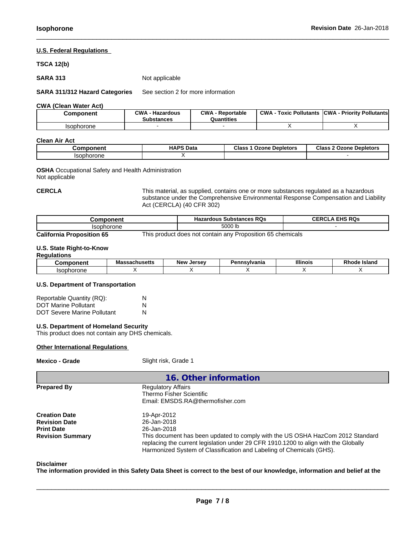## **U.S. Federal Regulations**

## **TSCA 12(b)**

**SARA 313** Not applicable

**SARA 311/312 Hazard Categories** See section 2 for more information

**CWA** (Clean Water Act)

| Component         | CWA<br>· Hazardous<br><b>Substances</b> | CWA<br>- Reportable<br>Quantities | <b>CWA</b><br><b>Toxic Pollutants</b> | <b>ICWA</b><br>ا - Prioritv Pollutants |
|-------------------|-----------------------------------------|-----------------------------------|---------------------------------------|----------------------------------------|
| <b>Isophorone</b> |                                         |                                   |                                       |                                        |

### **Clean Air Act**

| $$ omnoner | <b>HAPS Data</b> | <b>Class</b><br>: Depletors<br><b>Ozone</b> | <b>Class</b><br>Ozone<br>$\sim$<br><b>Depletors</b> |
|------------|------------------|---------------------------------------------|-----------------------------------------------------|
| lsont      |                  |                                             |                                                     |

**OSHA** Occupational Safety and Health Administration Not applicable

**CERCLA** This material, as supplied,contains one ormore substances regulated as a hazardous substance under the Comprehensive Environmental Response Compensation and Liability Act (CERCLA) (40 CFR 302)

 $\_$  ,  $\_$  ,  $\_$  ,  $\_$  ,  $\_$  ,  $\_$  ,  $\_$  ,  $\_$  ,  $\_$  ,  $\_$  ,  $\_$  ,  $\_$  ,  $\_$  ,  $\_$  ,  $\_$  ,  $\_$  ,  $\_$  ,  $\_$  ,  $\_$  ,  $\_$  ,  $\_$  ,  $\_$  ,  $\_$  ,  $\_$  ,  $\_$  ,  $\_$  ,  $\_$  ,  $\_$  ,  $\_$  ,  $\_$  ,  $\_$  ,  $\_$  ,  $\_$  ,  $\_$  ,  $\_$  ,  $\_$  ,  $\_$  ,

| Component                        | <b>Hazardous Substances RQs</b>                            | <b>CERCLA EHS RQS</b> |
|----------------------------------|------------------------------------------------------------|-----------------------|
| Isophorone                       | 5000 lb                                                    |                       |
| <b>California Proposition 65</b> | This product does not contain any Proposition 65 chemicals |                       |

### **U.S. State Right-to-Know**

| Reaula<br>------<br>,,, |                   |                        |            |                 |                        |
|-------------------------|-------------------|------------------------|------------|-----------------|------------------------|
| maxmin                  | sachusetts<br>ла> | . Jersev<br><b>New</b> | ınsvlvania | <b>Illinois</b> | Rhode<br><b>Island</b> |
| one<br>าดr              |                   |                        |            |                 |                        |

## **U.S. Department of Transportation**

| Reportable Quantity (RQ):          | N |
|------------------------------------|---|
| <b>DOT Marine Pollutant</b>        | N |
| <b>DOT Severe Marine Pollutant</b> | N |

#### **U.S. Department of Homeland Security**

This product does not contain any DHS chemicals.

## **Other International Regulations**

**Mexico - Grade** Slight risk, Grade 1

|                                                                                              | 16. Other information                                                                                                                                                                                                                                                                      |
|----------------------------------------------------------------------------------------------|--------------------------------------------------------------------------------------------------------------------------------------------------------------------------------------------------------------------------------------------------------------------------------------------|
| <b>Prepared By</b>                                                                           | <b>Regulatory Affairs</b><br>Thermo Fisher Scientific<br>Email: EMSDS.RA@thermofisher.com                                                                                                                                                                                                  |
| <b>Creation Date</b><br><b>Revision Date</b><br><b>Print Date</b><br><b>Revision Summary</b> | 19-Apr-2012<br>26-Jan-2018<br>26-Jan-2018<br>This document has been updated to comply with the US OSHA HazCom 2012 Standard<br>replacing the current legislation under 29 CFR 1910.1200 to align with the Globally<br>Harmonized System of Classification and Labeling of Chemicals (GHS). |

**Disclaimer**

The information provided in this Safety Data Sheet is correct to the best of our knowledge, information and belief at the